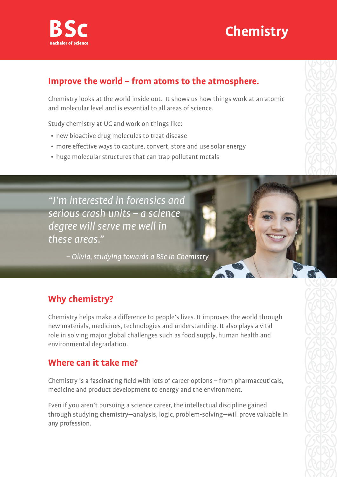

## **Chemistry**

#### **Improve the world – from atoms to the atmosphere.**

Chemistry looks at the world inside out. It shows us how things work at an atomic and molecular level and is essential to all areas of science.

Study chemistry at UC and work on things like:

- new bioactive drug molecules to treat disease
- more effective ways to capture, convert, store and use solar energy
- huge molecular structures that can trap pollutant metals

"I'm interested in forensics and serious crash units – a science degree will serve me well in these areas."

– Olivia, studying towards a BSc in Chemistry

## **Why chemistry?**

Chemistry helps make a difference to people's lives. It improves the world through new materials, medicines, technologies and understanding. It also plays a vital role in solving major global challenges such as food supply, human health and environmental degradation.

### **Where can it take me?**

Chemistry is a fascinating field with lots of career options – from pharmaceuticals, medicine and product development to energy and the environment.

Even if you aren't pursuing a science career, the intellectual discipline gained through studying chemistry—analysis, logic, problem-solving—will prove valuable in any profession.